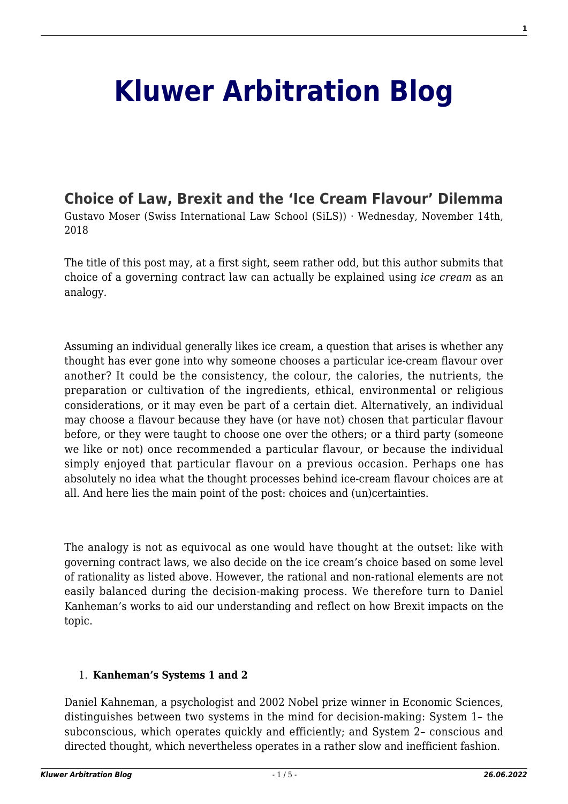# **[Kluwer Arbitration Blog](http://arbitrationblog.kluwerarbitration.com/)**

# **[Choice of Law, Brexit and the 'Ice Cream Flavour' Dilemma](http://arbitrationblog.kluwerarbitration.com/2018/11/14/choice-of-law-brexit-arbitration-and-the-ice-cream-flavour-dilemma/)**

Gustavo Moser (Swiss International Law School (SiLS)) · Wednesday, November 14th, 2018

The title of this post may, at a first sight, seem rather odd, but this author submits that choice of a governing contract law can actually be explained using *ice cream* as an analogy.

Assuming an individual generally likes ice cream, a question that arises is whether any thought has ever gone into why someone chooses a particular ice-cream flavour over another? It could be the consistency, the colour, the calories, the nutrients, the preparation or cultivation of the ingredients, ethical, environmental or religious considerations, or it may even be part of a certain diet. Alternatively, an individual may choose a flavour because they have (or have not) chosen that particular flavour before, or they were taught to choose one over the others; or a third party (someone we like or not) once recommended a particular flavour, or because the individual simply enjoyed that particular flavour on a previous occasion. Perhaps one has absolutely no idea what the thought processes behind ice-cream flavour choices are at all. And here lies the main point of the post: choices and (un)certainties.

The analogy is not as equivocal as one would have thought at the outset: like with governing contract laws, we also decide on the ice cream's choice based on some level of rationality as listed above. However, the rational and non-rational elements are not easily balanced during the decision-making process. We therefore turn to Daniel Kanheman's works to aid our understanding and reflect on how Brexit impacts on the topic.

# 1. **Kanheman's Systems 1 and 2**

Daniel Kahneman, a psychologist and 2002 Nobel prize winner in Economic Sciences, distinguishes between two systems in the mind for decision-making: System 1– the subconscious, which operates quickly and efficiently; and System 2– conscious and directed thought, which nevertheless operates in a rather slow and inefficient fashion.

**1**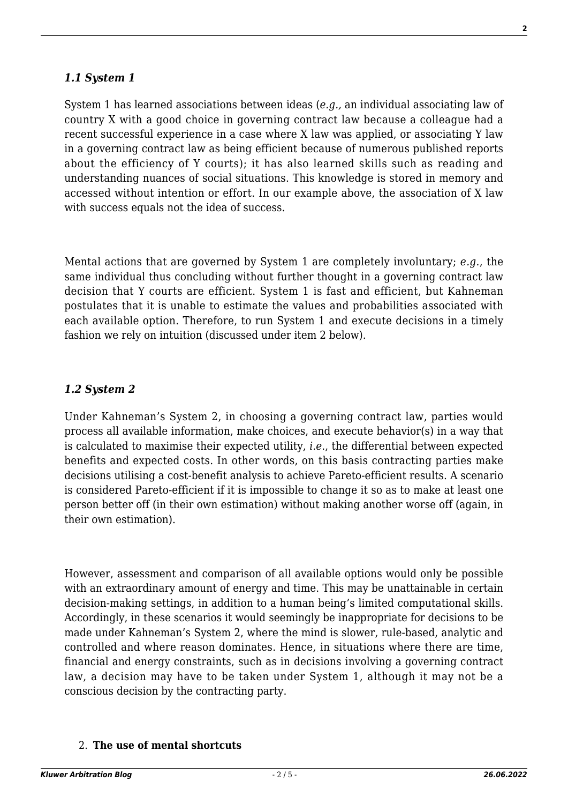### *1.1 System 1*

System 1 has learned associations between ideas (*e.g.,* an individual associating law of country X with a good choice in governing contract law because a colleague had a recent successful experience in a case where X law was applied, or associating Y law in a governing contract law as being efficient because of numerous published reports about the efficiency of Y courts); it has also learned skills such as reading and understanding nuances of social situations. This knowledge is stored in memory and accessed without intention or effort. In our example above, the association of X law with success equals not the idea of success.

Mental actions that are governed by System 1 are completely involuntary; *e.g*., the same individual thus concluding without further thought in a governing contract law decision that Y courts are efficient. System 1 is fast and efficient, but Kahneman postulates that it is unable to estimate the values and probabilities associated with each available option. Therefore, to run System 1 and execute decisions in a timely fashion we rely on intuition (discussed under item 2 below).

# *1.2 System 2*

Under Kahneman's System 2, in choosing a governing contract law, parties would process all available information, make choices, and execute behavior(s) in a way that is calculated to maximise their expected utility, *i.e.*, the differential between expected benefits and expected costs. In other words, on this basis contracting parties make decisions utilising a cost-benefit analysis to achieve Pareto-efficient results. A scenario is considered Pareto-efficient if it is impossible to change it so as to make at least one person better off (in their own estimation) without making another worse off (again, in their own estimation).

However, assessment and comparison of all available options would only be possible with an extraordinary amount of energy and time. This may be unattainable in certain decision-making settings, in addition to a human being's limited computational skills. Accordingly, in these scenarios it would seemingly be inappropriate for decisions to be made under Kahneman's System 2, where the mind is slower, rule-based, analytic and controlled and where reason dominates. Hence, in situations where there are time, financial and energy constraints, such as in decisions involving a governing contract law, a decision may have to be taken under System 1, although it may not be a conscious decision by the contracting party.

#### 2. **The use of mental shortcuts**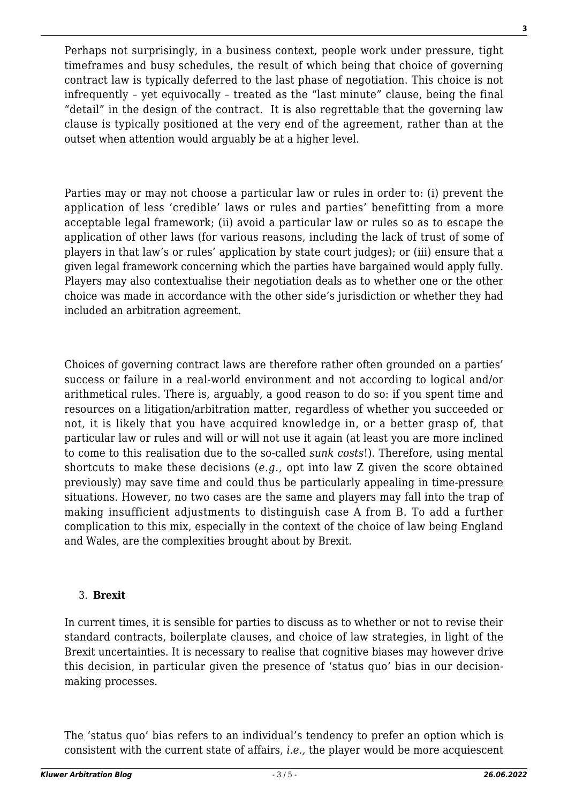Perhaps not surprisingly, in a business context, people work under pressure, tight timeframes and busy schedules, the result of which being that choice of governing contract law is typically deferred to the last phase of negotiation. This choice is not infrequently – yet equivocally – treated as the "last minute" clause, being the final "detail" in the design of the contract. It is also regrettable that the governing law clause is typically positioned at the very end of the agreement, rather than at the outset when attention would arguably be at a higher level.

Parties may or may not choose a particular law or rules in order to: (i) prevent the application of less 'credible' laws or rules and parties' benefitting from a more acceptable legal framework; (ii) avoid a particular law or rules so as to escape the application of other laws (for various reasons, including the lack of trust of some of players in that law's or rules' application by state court judges); or (iii) ensure that a given legal framework concerning which the parties have bargained would apply fully. Players may also contextualise their negotiation deals as to whether one or the other choice was made in accordance with the other side's jurisdiction or whether they had included an arbitration agreement.

Choices of governing contract laws are therefore rather often grounded on a parties' success or failure in a real-world environment and not according to logical and/or arithmetical rules. There is, arguably, a good reason to do so: if you spent time and resources on a litigation/arbitration matter, regardless of whether you succeeded or not, it is likely that you have acquired knowledge in, or a better grasp of, that particular law or rules and will or will not use it again (at least you are more inclined to come to this realisation due to the so-called *sunk costs*!). Therefore, using mental shortcuts to make these decisions (*e.g.,* opt into law Z given the score obtained previously) may save time and could thus be particularly appealing in time-pressure situations. However, no two cases are the same and players may fall into the trap of making insufficient adjustments to distinguish case A from B. To add a further complication to this mix, especially in the context of the choice of law being England and Wales, are the complexities brought about by Brexit.

# 3. **Brexit**

In current times, it is sensible for parties to discuss as to whether or not to revise their standard contracts, boilerplate clauses, and choice of law strategies, in light of the Brexit uncertainties. It is necessary to realise that cognitive biases may however drive this decision, in particular given the presence of 'status quo' bias in our decisionmaking processes.

The 'status quo' bias refers to an individual's tendency to prefer an option which is consistent with the current state of affairs, *i.e.,* the player would be more acquiescent **3**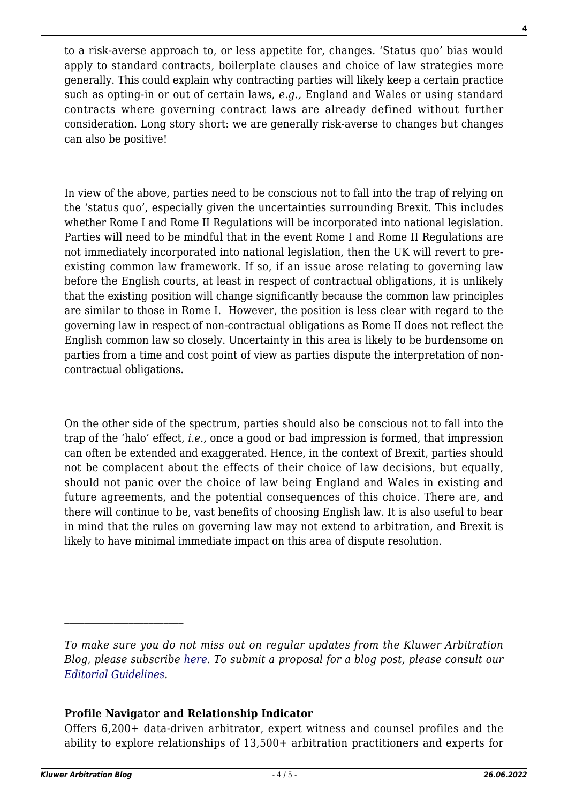to a risk-averse approach to, or less appetite for, changes. 'Status quo' bias would apply to standard contracts, boilerplate clauses and choice of law strategies more generally. This could explain why contracting parties will likely keep a certain practice such as opting-in or out of certain laws, *e.g.,* England and Wales or using standard contracts where governing contract laws are already defined without further consideration. Long story short: we are generally risk-averse to changes but changes can also be positive!

In view of the above, parties need to be conscious not to fall into the trap of relying on the 'status quo', especially given the uncertainties surrounding Brexit. This includes whether Rome I and Rome II Regulations will be incorporated into national legislation. Parties will need to be mindful that in the event Rome I and Rome II Regulations are not immediately incorporated into national legislation, then the UK will revert to preexisting common law framework. If so, if an issue arose relating to governing law before the English courts, at least in respect of contractual obligations, it is unlikely that the existing position will change significantly because the common law principles are similar to those in Rome I. However, the position is less clear with regard to the governing law in respect of non-contractual obligations as Rome II does not reflect the English common law so closely. Uncertainty in this area is likely to be burdensome on parties from a time and cost point of view as parties dispute the interpretation of noncontractual obligations.

On the other side of the spectrum, parties should also be conscious not to fall into the trap of the 'halo' effect, *i.e.,* once a good or bad impression is formed, that impression can often be extended and exaggerated. Hence, in the context of Brexit, parties should not be complacent about the effects of their choice of law decisions, but equally, should not panic over the choice of law being England and Wales in existing and future agreements, and the potential consequences of this choice. There are, and there will continue to be, vast benefits of choosing English law. It is also useful to bear in mind that the rules on governing law may not extend to arbitration, and Brexit is likely to have minimal immediate impact on this area of dispute resolution.

# **Profile Navigator and Relationship Indicator**

Offers 6,200+ data-driven arbitrator, expert witness and counsel profiles and the ability to explore relationships of 13,500+ arbitration practitioners and experts for

**4**

*To make sure you do not miss out on regular updates from the Kluwer Arbitration Blog, please subscribe [here](http://arbitrationblog.kluwerarbitration.com/newsletter/). To submit a proposal for a blog post, please consult our [Editorial Guidelines.](http://arbitrationblog.kluwerarbitration.com/editorial-guidelines/)*